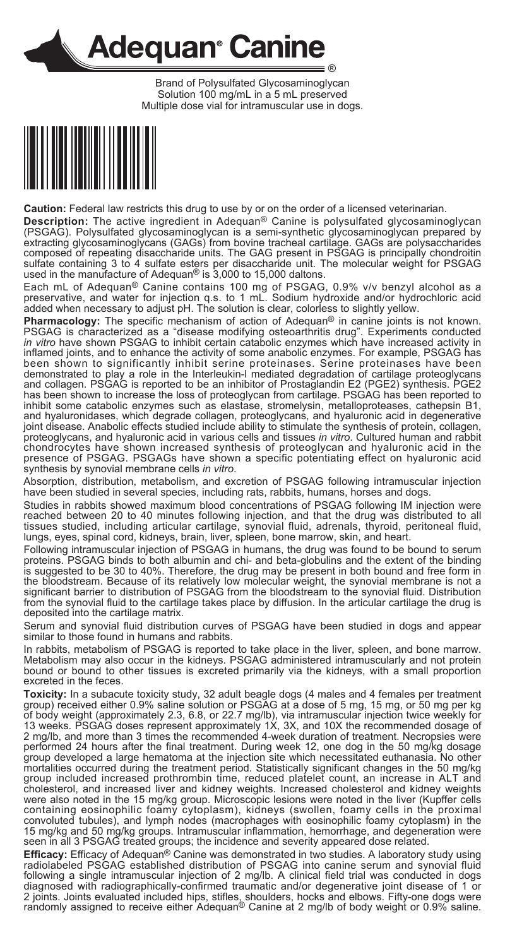

Brand of Polysulfated Glycosaminoglycan Solution 100 mg/mL in a 5 mL preserved Multiple dose vial for intramuscular use in dogs.



**Caution:** Federal law restricts this drug to use by or on the order of a licensed veterinarian.

**Description:** The active ingredient in Adequan® Canine is polysulfated glycosaminoglycan (PSGAG). Polysulfated glycosaminoglycan is a semi-synthetic glycosaminoglycan prepared by extracting glycosaminoglycans (GAGs) from

Each mL of Adequan® Canine contains 100 mg of PSGAG, 0.9% v/v benzyl alcohol as a preservative, and water for injection q.s. to 1 mL. Sodium hydroxide and/or hydrochloric acid added when necessary to adjust pH. The solutio

**Pharmacology:** The specific mechanism of action of Adequan<sup>®</sup> in canine joints is not known. PSGAG is characterized as a "disease modifying osteoarthritis drug". Experiments conducted in *in vitro* have shown PSGAG is un

Absorption, distribution, metabolism, and excretion of PSGAG following intramuscular injection have been studied in several species, including rats, rabbits, humans, horses and dogs.

Studies in rabbits showed maximum blood concentrations of PSGAG following IM injection were reached between 20 to 40 minutes following injection, and that the drug was distributed to all tissues studied, including articular cartilage, synovial fluid, adrenals, thyroid, peritoneal fluid, lungs, eyes, spinal cord, kidneys, brain, liver, spleen, bone marrow, skin, and heart.

Following intramuscular injection of PSGAG in humans, the drug was found to be bound to serum proteins. PSGAG binds to both albumin and chi- and beta-globulins and the extent of the binding is suggested to be 30 to 40%. Therefore, the drug may be present in both bound and free form in the bloodstream. Because of its relatively low molecular weight, the synovial membrane is not a significant barrier to distribution of PSGAG from the bloodstream to the synovial fluid. Distribution from the synovial fluid to the cartilage takes place by diffusion. In the articular cartilage the drug is deposited into the cartilage matrix.

Serum and synovial fluid distribution curves of PSGAG have been studied in dogs and appear similar to those found in humans and rabbits.

In rabbits, metabolism of PSGAG is reported to take place in the liver, spleen, and bone marrow.<br>Metabolism may also occur in the kidneys. PSGAG administered intramuscularly and not protein bound or bound to other tissues is excreted primarily via the kidneys, with a small proportion

excreted in the feces.<br>Toxicity: In a subacute toxicity study, 32 adult beagle dogs (4 males and 4 females per treatment<br>group) received either 0.9% saline solution or PSGAG at a dose of 5 mg, 15 mg, or 50 mg per kg are the body weight (approximately 2.3, 6.8, or 22.7 mg/lb), via intramuscular injection twice weekly for<br>13 weeks. PSGAG doses represent approximately 1X, 3X, and 10X the recommended dosage of<br>13 weeks. PSGAG doses repres cholesterol, and increased liver and kidney weights. Increased cholesterol and kidney weights were also noted in the 15 mg/kg group. Microscopic lesions were noted in the liver (Kupffer cells containing eosinophilic foamy cytoplasm), kidneys (swollen, foamy cells in the proximal convoluted tubules), and lymph nodes (macrophages with eosinophilic foamy cytoplasm) in the 15 mg/kg and 50 mg/kg groups. Intramuscular inflammation, hemorrhage, and degeneration were seen in all 3 PSGAG treated groups; the incidence and severity appeared dose related.

**Efficacy:** Efficacy of Adequan® Canine was demonstrated in two studies. A laboratory study using<br>radiolabeled PSGAG established distribution of PSGAG into canine serum and synovial fluid<br>following a single intramuscular i diagnosed with radiographically-confirmed traumatic and/or degenerative joint disease of 1 or 2 joints. Joints evaluated included hips, stifles, shoulders, hocks and elbows. Fifty-one dogs were randomly assigned to receive either Adequan® Canine at 2 mg/lb of body weight or 0.9% saline.